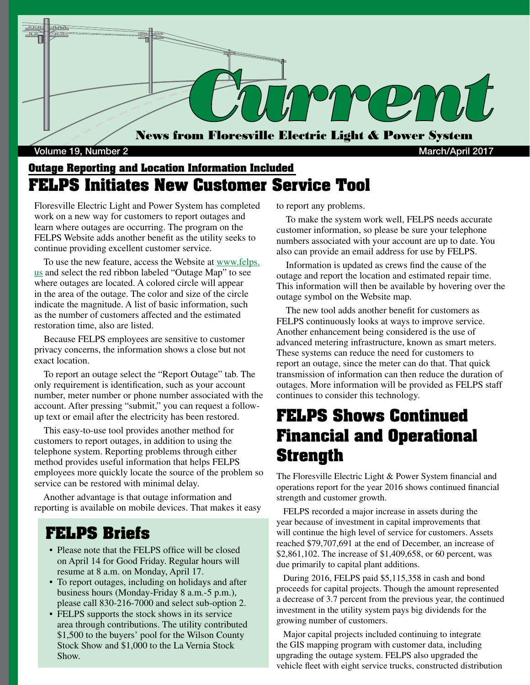

#### Volume 19, Number 2 March/April 2017

### **Outage Reporting and Location Information Included FELPS Initiates New Customer Service Tool**

Floresville Electric Light and Power System has completed work on a new way for customers to report outages and learn where outages are occurring. The program on the FELPS Website adds another benefit as the utility seeks to continue providing excellent customer service.

 To use the new feature, access the Website at www.felps. us and select the red ribbon labeled "Outage Map" to see where outages are located. A colored circle will appear in the area of the outage. The color and size of the circle indicate the magnitude. A list of basic information, such as the number of customers affected and the estimated restoration time, also are listed.

 Because FELPS employees are sensitive to customer privacy concerns, the information shows a close but not exact location.

 To report an outage select the "Report Outage" tab. The only requirement is identification, such as your account number, meter number or phone number associated with the account. After pressing "submit," you can request a followup text or email after the electricity has been restored.

 This easy-to-use tool provides another method for customers to report outages, in addition to using the telephone system. Reporting problems through either method provides useful information that helps FELPS employees more quickly locate the source of the problem so service can be restored with minimal delay.

 Another advantage is that outage information and reporting is available on mobile devices. That makes it easy

#### **FELPS Briefs**

- Please note that the FELPS office will be closed on April 14 for Good Friday. Regular hours will resume at 8 a.m. on Monday, April 17.
- To report outages, including on holidays and after business hours (Monday-Friday 8 a.m.-5 p.m.), please call 830-216-7000 and select sub-option 2.
- FELPS supports the stock shows in its service area through contributions. The utility contributed \$1,500 to the buyers' pool for the Wilson County Stock Show and \$1,000 to the La Vernia Stock Show.

to report any problems.

 To make the system work well, FELPS needs accurate customer information, so please be sure your telephone numbers associated with your account are up to date. You also can provide an email address for use by FELPS.

 Information is updated as crews find the cause of the outage and report the location and estimated repair time. This information will then be available by hovering over the outage symbol on the Website map.

 The new tool adds another benefit for customers as FELPS continuously looks at ways to improve service. Another enhancement being considered is the use of advanced metering infrastructure, known as smart meters. These systems can reduce the need for customers to report an outage, since the meter can do that. That quick transmission of information can then reduce the duration of outages. More information will be provided as FELPS staff continues to consider this technology.

## **FELPS Shows Continued Financial and Operational Strength**

The Floresville Electric Light & Power System financial and operations report for the year 2016 shows continued financial strength and customer growth.

 FELPS recorded a major increase in assets during the year because of investment in capital improvements that will continue the high level of service for customers. Assets reached \$79,707,691 at the end of December, an increase of \$2,861,102. The increase of \$1,409,658, or 60 percent, was due primarily to capital plant additions.

 During 2016, FELPS paid \$5,115,358 in cash and bond proceeds for capital projects. Though the amount represented a decrease of 3.7 percent from the previous year, the continued investment in the utility system pays big dividends for the growing number of customers.

 Major capital projects included continuing to integrate the GIS mapping program with customer data, including upgrading the outage system. FELPS also upgraded the vehicle fleet with eight service trucks, constructed distribution